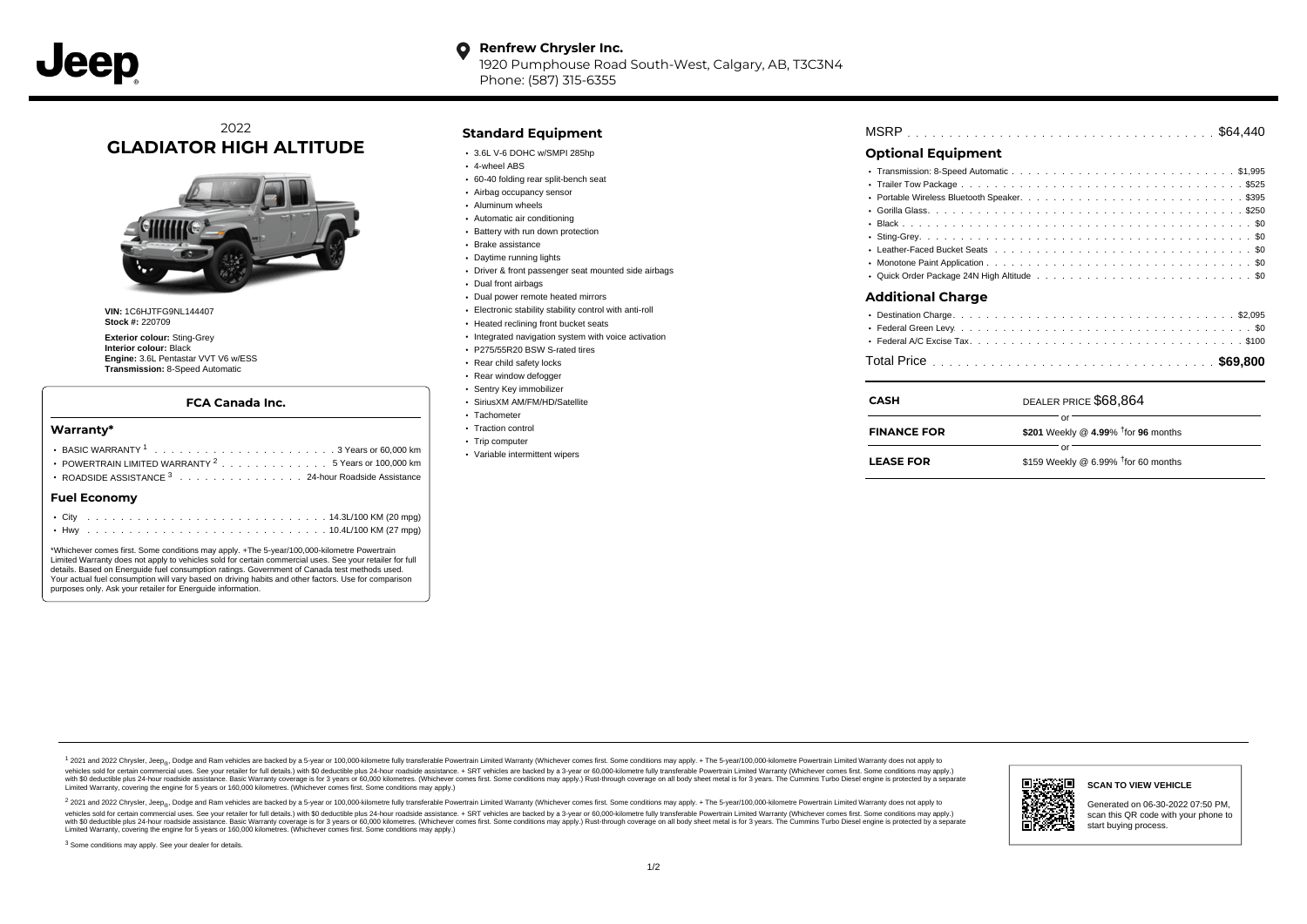#### **Renfrew Chrysler Inc.** O

1920 Pumphouse Road South-West, Calgary, AB, T3C3N4 Phone: (587) 315-6355

### 2022 **GLADIATOR HIGH ALTITUDE**



**VIN:** 1C6HJTFG9NL144407 **Stock #:** 220709

**Exterior colour:** Sting-Grey **Interior colour:** Black **Engine:** 3.6L Pentastar VVT V6 w/ESS **Transmission:** 8-Speed Automatic

#### **FCA Canada Inc.**

#### **Warranty\***

| POWERTRAIN LIMITED WARRANTY $2, \ldots, \ldots, \ldots, 5$ Years or 100,000 km<br>ROADSIDE ASSISTANCE 3 24-hour Roadside Assistance |  |  |  |  |  |  |  |  |  |  |  |  |  |  |  |  |
|-------------------------------------------------------------------------------------------------------------------------------------|--|--|--|--|--|--|--|--|--|--|--|--|--|--|--|--|
| <b>Fuel Economy</b>                                                                                                                 |  |  |  |  |  |  |  |  |  |  |  |  |  |  |  |  |
|                                                                                                                                     |  |  |  |  |  |  |  |  |  |  |  |  |  |  |  |  |
|                                                                                                                                     |  |  |  |  |  |  |  |  |  |  |  |  |  |  |  |  |

\*Whichever comes first. Some conditions may apply. +The 5-year/100,000-kilometre Powertrain Limited Warranty does not apply to vehicles sold for certain commercial uses. See your retailer for full details. Based on Energuide fuel consumption ratings. Government of Canada test methods used. Your actual fuel consumption will vary based on driving habits and other factors. Use for comparison purposes only. Ask your retailer for Energuide information.

### **Standard Equipment**

- 3.6L V-6 DOHC w/SMPI 285hp
- 4-wheel ABS
- 60-40 folding rear split-bench seat
- Airbag occupancy sensor
- Aluminum wheels
- Automatic air conditioning
- Battery with run down protection
- Brake assistance
- Daytime running lights
- Driver & front passenger seat mounted side airbags
- Dual front airbags
- Dual power remote heated mirrors
- Electronic stability stability control with anti-roll
- Heated reclining front bucket seats
- Integrated navigation system with voice activation
- P275/55R20 BSW S-rated tires
- Rear child safety locks
- Rear window defogger
- Sentry Key immobilizer
- SiriusXM AM/FM/HD/Satellite
- Tachometer
- Traction control • Trip computer
- Variable intermittent wipers

. . . . . . . . . . . . . . . . . . . . . . . . . . . . . . . . . . . . . . . . . . . . . . MSRP \$64,440

### **Optional Equipment**

| <b>Additional Charge</b> |  |
|--------------------------|--|
|                          |  |

| <b>CASH</b>        | DEALER PRICE \$68,864                        |
|--------------------|----------------------------------------------|
| <b>FINANCE FOR</b> | \$201 Weekly @ 4.99% $†$ for 96 months       |
| <b>LEASE FOR</b>   | Ωr<br>\$159 Weekly @ 6.99% $†$ for 60 months |

1 2021 and 2022 Chrysler, Jeep<sub>en</sub> Dodge and Ram vehicles are backed by a 5-year or 100,000-kilometre fully transferable Powertrain Limited Warranty (Whichever comes first. Some conditions may apply. + The 5-year/100,000-k debt of the product of the control and season to the control and the control of the control of the control of the control of the control of the SA-hour madside assistance. + SRT vehicles are backed by a 3-year or 60.00-kil ventals and contract when the contract when the contract you contract when the contract when the control of the set of a set of a set of a set of 3 years of 60,000 kilometres. Whichever comes first. Some conditions may app Limited Warranty, covering the engine for 5 years or 160,000 kilometres. (Whichever comes first. Some conditions may apply.)

2 2021 and 2022 Chrysler, Jeep<sub>es</sub> Dodge and Ram vehicles are backed by a 5-year or 100,000-kilometre fully transferable Powertrain Limited Warranty (Whichever comes first. Some conditions may apply. + The 5-year/100,000-k vehicles sold for certain commercial uses. See your retailer for full details.) with SO deductible plus 24-hour roadside assistance. + SRT vehicles are backed by a 3-year or 60.000-kilometre fully transferable Powertrain L with S0 deductible plus 24-hour roadside assistance. Basic Warranty coverage is for 3 years or 60,000 kilometres. (Whichever comes first. Some conditions may apply.) Rust-through coverage on all body sheet metal is for 3 y

<sup>3</sup> Some conditions may apply. See your dealer for details.



# **SCAN TO VIEW VEHICLE**

Generated on 06-30-2022 07:50 PM, scan this QR code with your phone to start buying process.